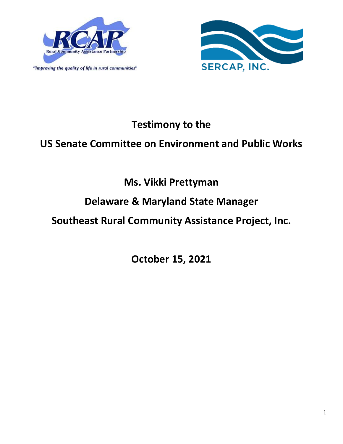

"Improving the quality of life in rural communities"



# **Testimony to the**

## **US Senate Committee on Environment and Public Works**

# **Ms. Vikki Prettyman**

## **Delaware & Maryland State Manager**

# **Southeast Rural Community Assistance Project, Inc.**

**October 15, 2021**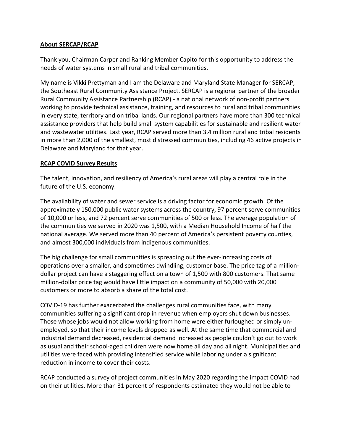#### **About SERCAP/RCAP**

Thank you, Chairman Carper and Ranking Member Capito for this opportunity to address the needs of water systems in small rural and tribal communities.

My name is Vikki Prettyman and I am the Delaware and Maryland State Manager for SERCAP, the Southeast Rural Community Assistance Project. SERCAP is a regional partner of the broader Rural Community Assistance Partnership (RCAP) - a national network of non-profit partners working to provide technical assistance, training, and resources to rural and tribal communities in every state, territory and on tribal lands. Our regional partners have more than 300 technical assistance providers that help build small system capabilities for sustainable and resilient water and wastewater utilities. Last year, RCAP served more than 3.4 million rural and tribal residents in more than 2,000 of the smallest, most distressed communities, including 46 active projects in Delaware and Maryland for that year.

#### **RCAP COVID Survey Results**

The talent, innovation, and resiliency of America's rural areas will play a central role in the future of the U.S. economy.

The availability of water and sewer service is a driving factor for economic growth. Of the approximately 150,000 public water systems across the country, 97 percent serve communities of 10,000 or less, and 72 percent serve communities of 500 or less. The average population of the communities we served in 2020 was 1,500, with a Median Household Income of half the national average. We served more than 40 percent of America's persistent poverty counties, and almost 300,000 individuals from indigenous communities.

The big challenge for small communities is spreading out the ever-increasing costs of operations over a smaller, and sometimes dwindling, customer base. The price tag of a milliondollar project can have a staggering effect on a town of 1,500 with 800 customers. That same million-dollar price tag would have little impact on a community of 50,000 with 20,000 customers or more to absorb a share of the total cost.

COVID-19 has further exacerbated the challenges rural communities face, with many communities suffering a significant drop in revenue when employers shut down businesses. Those whose jobs would not allow working from home were either furloughed or simply unemployed, so that their income levels dropped as well. At the same time that commercial and industrial demand decreased, residential demand increased as people couldn't go out to work as usual and their school-aged children were now home all day and all night. Municipalities and utilities were faced with providing intensified service while laboring under a significant reduction in income to cover their costs.

RCAP conducted a survey of project communities in May 2020 regarding the impact COVID had on their utilities. More than 31 percent of respondents estimated they would not be able to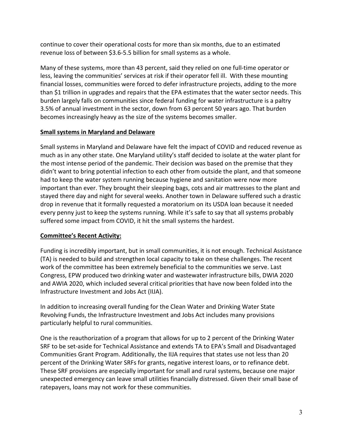continue to cover their operational costs for more than six months, due to an estimated revenue loss of between \$3.6-5.5 billion for small systems as a whole.

Many of these systems, more than 43 percent, said they relied on one full-time operator or less, leaving the communities' services at risk if their operator fell ill. With these mounting financial losses, communities were forced to defer infrastructure projects, adding to the more than \$1 trillion in upgrades and repairs that the EPA estimates that the water sector needs. This burden largely falls on communities since federal funding for water infrastructure is a paltry 3.5% of annual investment in the sector, down from 63 percent 50 years ago. That burden becomes increasingly heavy as the size of the systems becomes smaller.

### **Small systems in Maryland and Delaware**

Small systems in Maryland and Delaware have felt the impact of COVID and reduced revenue as much as in any other state. One Maryland utility's staff decided to isolate at the water plant for the most intense period of the pandemic. Their decision was based on the premise that they didn't want to bring potential infection to each other from outside the plant, and that someone had to keep the water system running because hygiene and sanitation were now more important than ever. They brought their sleeping bags, cots and air mattresses to the plant and stayed there day and night for several weeks. Another town in Delaware suffered such a drastic drop in revenue that it formally requested a moratorium on its USDA loan because it needed every penny just to keep the systems running. While it's safe to say that all systems probably suffered some impact from COVID, it hit the small systems the hardest.

### **Committee's Recent Activity:**

Funding is incredibly important, but in small communities, it is not enough. Technical Assistance (TA) is needed to build and strengthen local capacity to take on these challenges. The recent work of the committee has been extremely beneficial to the communities we serve. Last Congress, EPW produced two drinking water and wastewater infrastructure bills, DWIA 2020 and AWIA 2020, which included several critical priorities that have now been folded into the Infrastructure Investment and Jobs Act (IIJA).

In addition to increasing overall funding for the Clean Water and Drinking Water State Revolving Funds, the Infrastructure Investment and Jobs Act includes many provisions particularly helpful to rural communities.

One is the reauthorization of a program that allows for up to 2 percent of the Drinking Water SRF to be set-aside for Technical Assistance and extends TA to EPA's Small and Disadvantaged Communities Grant Program. Additionally, the IIJA requires that states use not less than 20 percent of the Drinking Water SRFs for grants, negative interest loans, or to refinance debt. These SRF provisions are especially important for small and rural systems, because one major unexpected emergency can leave small utilities financially distressed. Given their small base of ratepayers, loans may not work for these communities.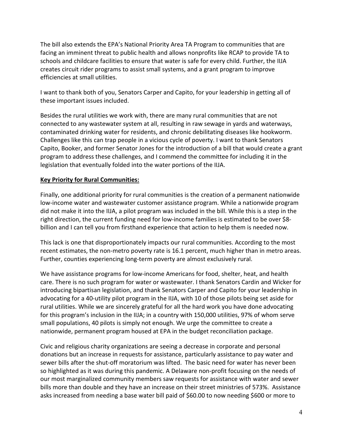The bill also extends the EPA's National Priority Area TA Program to communities that are facing an imminent threat to public health and allows nonprofits like RCAP to provide TA to schools and childcare facilities to ensure that water is safe for every child. Further, the IIJA creates circuit rider programs to assist small systems, and a grant program to improve efficiencies at small utilities.

I want to thank both of you, Senators Carper and Capito, for your leadership in getting all of these important issues included.

Besides the rural utilities we work with, there are many rural communities that are not connected to any wastewater system at all, resulting in raw sewage in yards and waterways, contaminated drinking water for residents, and chronic debilitating diseases like hookworm. Challenges like this can trap people in a vicious cycle of poverty. I want to thank Senators Capito, Booker, and former Senator Jones for the introduction of a bill that would create a grant program to address these challenges, and I commend the committee for including it in the legislation that eventually folded into the water portions of the IIJA.

### **Key Priority for Rural Communities:**

Finally, one additional priority for rural communities is the creation of a permanent nationwide low-income water and wastewater customer assistance program. While a nationwide program did not make it into the IIJA, a pilot program was included in the bill. While this is a step in the right direction, the current funding need for low-income families is estimated to be over \$8 billion and I can tell you from firsthand experience that action to help them is needed now.

This lack is one that disproportionately impacts our rural communities. According to the most recent estimates, the non-metro poverty rate is 16.1 percent, much higher than in metro areas. Further, counties experiencing long-term poverty are almost exclusively rural.

We have assistance programs for low-income Americans for food, shelter, heat, and health care. There is no such program for water or wastewater. I thank Senators Cardin and Wicker for introducing bipartisan legislation, and thank Senators Carper and Capito for your leadership in advocating for a 40-utility pilot program in the IIJA, with 10 of those pilots being set aside for rural utilities. While we are sincerely grateful for all the hard work you have done advocating for this program's inclusion in the IIJA; in a country with 150,000 utilities, 97% of whom serve small populations, 40 pilots is simply not enough. We urge the committee to create a nationwide, permanent program housed at EPA in the budget reconciliation package.

Civic and religious charity organizations are seeing a decrease in corporate and personal donations but an increase in requests for assistance, particularly assistance to pay water and sewer bills after the shut-off moratorium was lifted. The basic need for water has never been so highlighted as it was during this pandemic. A Delaware non-profit focusing on the needs of our most marginalized community members saw requests for assistance with water and sewer bills more than double and they have an increase on their street ministries of 573%. Assistance asks increased from needing a base water bill paid of \$60.00 to now needing \$600 or more to